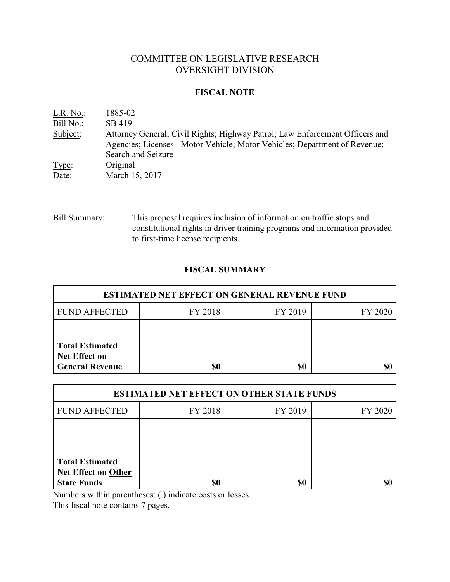# COMMITTEE ON LEGISLATIVE RESEARCH OVERSIGHT DIVISION

#### **FISCAL NOTE**

| L.R. No.  | 1885-02                                                                                                                                                                          |
|-----------|----------------------------------------------------------------------------------------------------------------------------------------------------------------------------------|
| Bill No.: | SB 419                                                                                                                                                                           |
| Subject:  | Attorney General; Civil Rights; Highway Patrol; Law Enforcement Officers and<br>Agencies; Licenses - Motor Vehicle; Motor Vehicles; Department of Revenue;<br>Search and Seizure |
| Type:     | Original                                                                                                                                                                         |
| Date:     | March 15, 2017                                                                                                                                                                   |

Bill Summary: This proposal requires inclusion of information on traffic stops and constitutional rights in driver training programs and information provided to first-time license recipients.

# **FISCAL SUMMARY**

| <b>ESTIMATED NET EFFECT ON GENERAL REVENUE FUND</b>                      |         |         |         |  |  |
|--------------------------------------------------------------------------|---------|---------|---------|--|--|
| <b>FUND AFFECTED</b>                                                     | FY 2018 | FY 2019 | FY 2020 |  |  |
|                                                                          |         |         |         |  |  |
| <b>Total Estimated</b><br><b>Net Effect on</b><br><b>General Revenue</b> | \$0     | \$0     |         |  |  |

| <b>ESTIMATED NET EFFECT ON OTHER STATE FUNDS</b>                           |                               |     |  |  |  |
|----------------------------------------------------------------------------|-------------------------------|-----|--|--|--|
| <b>FUND AFFECTED</b>                                                       | FY 2018<br>FY 2019<br>FY 2020 |     |  |  |  |
|                                                                            |                               |     |  |  |  |
|                                                                            |                               |     |  |  |  |
| <b>Total Estimated</b><br><b>Net Effect on Other</b><br><b>State Funds</b> | \$0                           | \$0 |  |  |  |

Numbers within parentheses: ( ) indicate costs or losses.

This fiscal note contains 7 pages.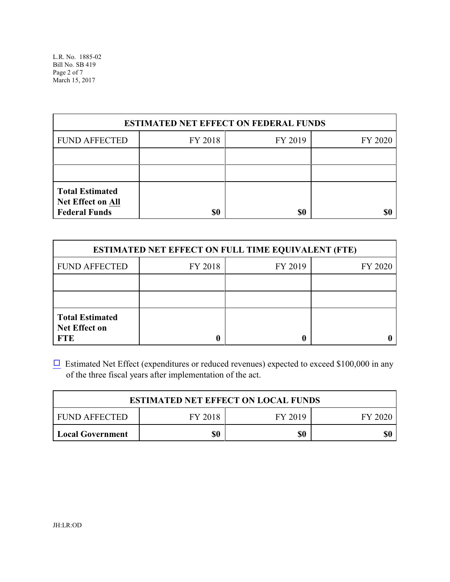| <b>ESTIMATED NET EFFECT ON FEDERAL FUNDS</b>                               |         |         |         |  |
|----------------------------------------------------------------------------|---------|---------|---------|--|
| <b>FUND AFFECTED</b>                                                       | FY 2018 | FY 2019 | FY 2020 |  |
|                                                                            |         |         |         |  |
|                                                                            |         |         |         |  |
| <b>Total Estimated</b><br><b>Net Effect on All</b><br><b>Federal Funds</b> | \$0     | \$0     |         |  |

| <b>ESTIMATED NET EFFECT ON FULL TIME EQUIVALENT (FTE)</b>    |         |         |         |  |  |
|--------------------------------------------------------------|---------|---------|---------|--|--|
| <b>FUND AFFECTED</b>                                         | FY 2018 | FY 2019 | FY 2020 |  |  |
|                                                              |         |         |         |  |  |
|                                                              |         |         |         |  |  |
| <b>Total Estimated</b><br><b>Net Effect on</b><br><b>FTE</b> |         |         |         |  |  |

 $\Box$  Estimated Net Effect (expenditures or reduced revenues) expected to exceed \$100,000 in any of the three fiscal years after implementation of the act.

| <b>ESTIMATED NET EFFECT ON LOCAL FUNDS</b>     |  |  |  |  |  |
|------------------------------------------------|--|--|--|--|--|
| FY 2018<br>FY 2019<br>FUND AFFECTED<br>FY 2020 |  |  |  |  |  |
| \$0<br>\$0<br>\$0<br><b>Local Government</b>   |  |  |  |  |  |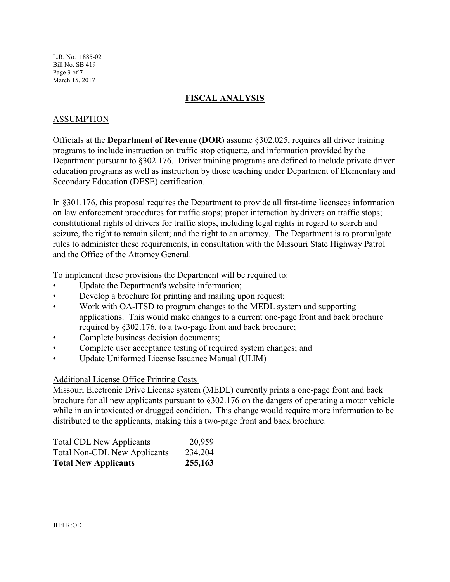L.R. No. 1885-02 Bill No. SB 419 Page 3 of 7 March 15, 2017

### **FISCAL ANALYSIS**

### ASSUMPTION

Officials at the **Department of Revenue** (**DOR**) assume §302.025, requires all driver training programs to include instruction on traffic stop etiquette, and information provided by the Department pursuant to §302.176. Driver training programs are defined to include private driver education programs as well as instruction by those teaching under Department of Elementary and Secondary Education (DESE) certification.

In §301.176, this proposal requires the Department to provide all first-time licensees information on law enforcement procedures for traffic stops; proper interaction by drivers on traffic stops; constitutional rights of drivers for traffic stops, including legal rights in regard to search and seizure, the right to remain silent; and the right to an attorney. The Department is to promulgate rules to administer these requirements, in consultation with the Missouri State Highway Patrol and the Office of the Attorney General.

To implement these provisions the Department will be required to:

- Update the Department's website information;
- Develop a brochure for printing and mailing upon request;
- Work with OA-ITSD to program changes to the MEDL system and supporting applications. This would make changes to a current one-page front and back brochure required by §302.176, to a two-page front and back brochure;
- Complete business decision documents;
- Complete user acceptance testing of required system changes; and
- Update Uniformed License Issuance Manual (ULIM)

## Additional License Office Printing Costs

Missouri Electronic Drive License system (MEDL) currently prints a one-page front and back brochure for all new applicants pursuant to §302.176 on the dangers of operating a motor vehicle while in an intoxicated or drugged condition. This change would require more information to be distributed to the applicants, making this a two-page front and back brochure.

| <b>Total CDL New Applicants</b>     | 20,959  |
|-------------------------------------|---------|
| <b>Total Non-CDL New Applicants</b> | 234,204 |
| <b>Total New Applicants</b>         | 255,163 |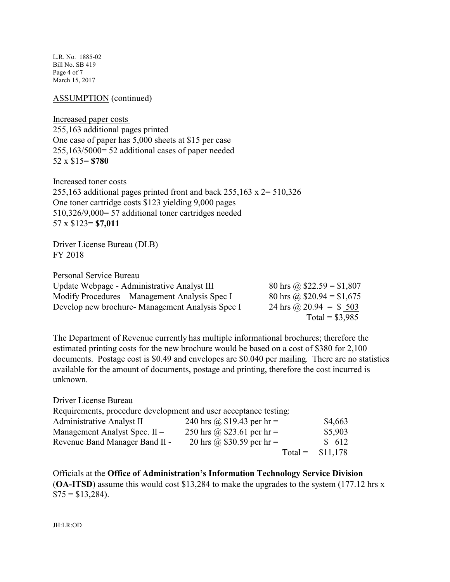L.R. No. 1885-02 Bill No. SB 419 Page 4 of 7 March 15, 2017

ASSUMPTION (continued)

Increased paper costs 255,163 additional pages printed One case of paper has 5,000 sheets at \$15 per case 255,163/5000= 52 additional cases of paper needed 52 x \$15= **\$780**

Increased toner costs 255,163 additional pages printed front and back  $255,163 \times 2 = 510,326$ One toner cartridge costs \$123 yielding 9,000 pages 510,326/9,000= 57 additional toner cartridges needed 57 x \$123= **\$7,011**

Driver License Bureau (DLB) FY 2018

Personal Service Bureau

| Update Webpage - Administrative Analyst III     | 80 hrs @ $$22.59 = $1,807$ |
|-------------------------------------------------|----------------------------|
| Modify Procedures – Management Analysis Spec I  | 80 hrs @ $$20.94 = $1,675$ |
| Develop new brochure-Management Analysis Spec I | 24 hrs @ $20.94 = $503$    |
|                                                 | Total = $$3,985$           |

The Department of Revenue currently has multiple informational brochures; therefore the estimated printing costs for the new brochure would be based on a cost of \$380 for 2,100 documents. Postage cost is \$0.49 and envelopes are \$0.040 per mailing. There are no statistics available for the amount of documents, postage and printing, therefore the cost incurred is unknown.

| Driver License Bureau                                            |                             |          |  |
|------------------------------------------------------------------|-----------------------------|----------|--|
| Requirements, procedure development and user acceptance testing: |                             |          |  |
| Administrative Analyst $II -$                                    | 240 hrs @ $$19.43$ per hr = | \$4,663  |  |
| Management Analyst Spec. II -                                    | 250 hrs @ \$23.61 per hr =  | \$5,903  |  |
| Revenue Band Manager Band II -                                   | 20 hrs @ \$30.59 per hr =   | \$612    |  |
|                                                                  | $Total =$                   | \$11,178 |  |

Officials at the **Office of Administration's Information Technology Service Division** (**OA-ITSD**) assume this would cost \$13,284 to make the upgrades to the system (177.12 hrs x  $$75 = $13,284$ ).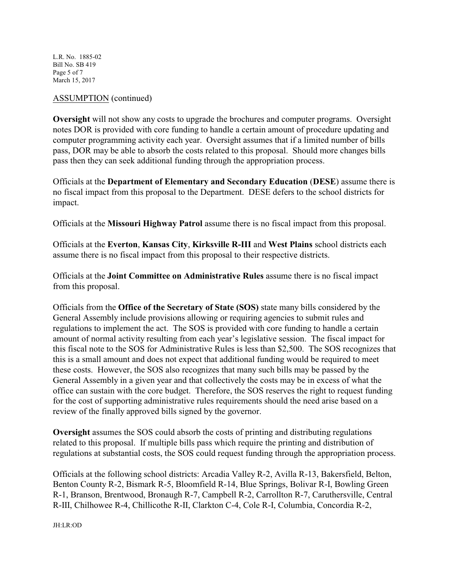L.R. No. 1885-02 Bill No. SB 419 Page 5 of 7 March 15, 2017

#### ASSUMPTION (continued)

**Oversight** will not show any costs to upgrade the brochures and computer programs. Oversight notes DOR is provided with core funding to handle a certain amount of procedure updating and computer programming activity each year. Oversight assumes that if a limited number of bills pass, DOR may be able to absorb the costs related to this proposal. Should more changes bills pass then they can seek additional funding through the appropriation process.

Officials at the **Department of Elementary and Secondary Education** (**DESE**) assume there is no fiscal impact from this proposal to the Department. DESE defers to the school districts for impact.

Officials at the **Missouri Highway Patrol** assume there is no fiscal impact from this proposal.

Officials at the **Everton**, **Kansas City**, **Kirksville R-III** and **West Plains** school districts each assume there is no fiscal impact from this proposal to their respective districts.

Officials at the **Joint Committee on Administrative Rules** assume there is no fiscal impact from this proposal.

Officials from the **Office of the Secretary of State (SOS)** state many bills considered by the General Assembly include provisions allowing or requiring agencies to submit rules and regulations to implement the act. The SOS is provided with core funding to handle a certain amount of normal activity resulting from each year's legislative session. The fiscal impact for this fiscal note to the SOS for Administrative Rules is less than \$2,500. The SOS recognizes that this is a small amount and does not expect that additional funding would be required to meet these costs. However, the SOS also recognizes that many such bills may be passed by the General Assembly in a given year and that collectively the costs may be in excess of what the office can sustain with the core budget. Therefore, the SOS reserves the right to request funding for the cost of supporting administrative rules requirements should the need arise based on a review of the finally approved bills signed by the governor.

**Oversight** assumes the SOS could absorb the costs of printing and distributing regulations related to this proposal. If multiple bills pass which require the printing and distribution of regulations at substantial costs, the SOS could request funding through the appropriation process.

Officials at the following school districts: Arcadia Valley R-2, Avilla R-13, Bakersfield, Belton, Benton County R-2, Bismark R-5, Bloomfield R-14, Blue Springs, Bolivar R-I, Bowling Green R-1, Branson, Brentwood, Bronaugh R-7, Campbell R-2, Carrollton R-7, Caruthersville, Central R-III, Chilhowee R-4, Chillicothe R-II, Clarkton C-4, Cole R-I, Columbia, Concordia R-2,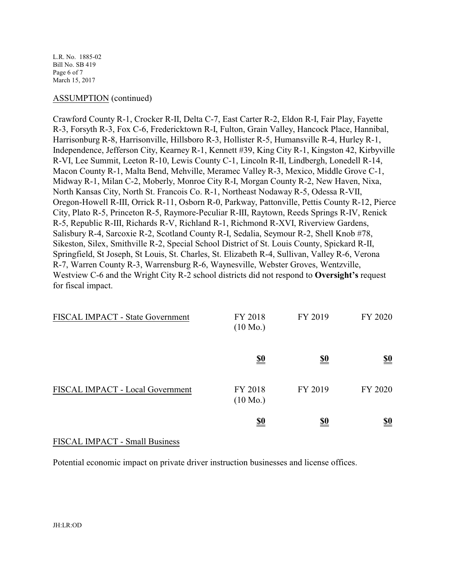L.R. No. 1885-02 Bill No. SB 419 Page 6 of 7 March 15, 2017

#### ASSUMPTION (continued)

Crawford County R-1, Crocker R-II, Delta C-7, East Carter R-2, Eldon R-I, Fair Play, Fayette R-3, Forsyth R-3, Fox C-6, Fredericktown R-I, Fulton, Grain Valley, Hancock Place, Hannibal, Harrisonburg R-8, Harrisonville, Hillsboro R-3, Hollister R-5, Humansville R-4, Hurley R-1, Independence, Jefferson City, Kearney R-1, Kennett #39, King City R-1, Kingston 42, Kirbyville R-VI, Lee Summit, Leeton R-10, Lewis County C-1, Lincoln R-II, Lindbergh, Lonedell R-14, Macon County R-1, Malta Bend, Mehville, Meramec Valley R-3, Mexico, Middle Grove C-1, Midway R-1, Milan C-2, Moberly, Monroe City R-I, Morgan County R-2, New Haven, Nixa, North Kansas City, North St. Francois Co. R-1, Northeast Nodaway R-5, Odessa R-VII, Oregon-Howell R-III, Orrick R-11, Osborn R-0, Parkway, Pattonville, Pettis County R-12, Pierce City, Plato R-5, Princeton R-5, Raymore-Peculiar R-III, Raytown, Reeds Springs R-IV, Renick R-5, Republic R-III, Richards R-V, Richland R-1, Richmond R-XVI, Riverview Gardens, Salisbury R-4, Sarcoxie R-2, Scotland County R-I, Sedalia, Seymour R-2, Shell Knob #78, Sikeston, Silex, Smithville R-2, Special School District of St. Louis County, Spickard R-II, Springfield, St Joseph, St Louis, St. Charles, St. Elizabeth R-4, Sullivan, Valley R-6, Verona R-7, Warren County R-3, Warrensburg R-6, Waynesville, Webster Groves, Wentzville, Westview C-6 and the Wright City R-2 school districts did not respond to **Oversight's** request for fiscal impact.

| FISCAL IMPACT - State Government | FY 2018<br>$(10 \text{ Mo.})$ | FY 2019    | FY 2020                       |
|----------------------------------|-------------------------------|------------|-------------------------------|
|                                  | <u>\$0</u>                    | <u>\$0</u> | $\underline{\underline{\$0}}$ |
| FISCAL IMPACT - Local Government | FY 2018<br>$(10 \text{ Mo.})$ | FY 2019    | FY 2020                       |
|                                  | <u>\$0</u>                    | <u>\$0</u> | <u>\$0</u>                    |

#### FISCAL IMPACT - Small Business

Potential economic impact on private driver instruction businesses and license offices.